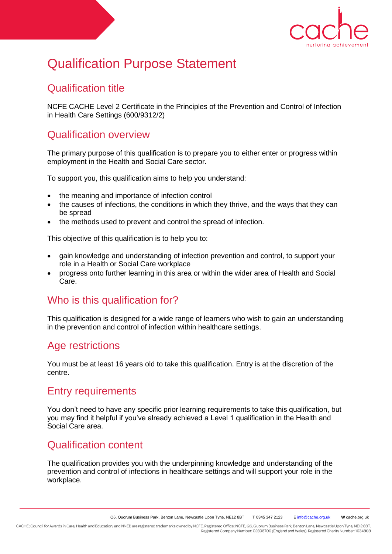

# Qualification Purpose Statement

## Qualification title

NCFE CACHE Level 2 Certificate in the Principles of the Prevention and Control of Infection in Health Care Settings (600/9312/2)

## Qualification overview

The primary purpose of this qualification is to prepare you to either enter or progress within employment in the Health and Social Care sector.

To support you, this qualification aims to help you understand:

- the meaning and importance of infection control
- the causes of infections, the conditions in which they thrive, and the ways that they can be spread
- the methods used to prevent and control the spread of infection.

This objective of this qualification is to help you to:

- gain knowledge and understanding of infection prevention and control, to support your role in a Health or Social Care workplace
- progress onto further learning in this area or within the wider area of Health and Social Care.

## Who is this qualification for?

This qualification is designed for a wide range of learners who wish to gain an understanding in the prevention and control of infection within healthcare settings.

## Age restrictions

You must be at least 16 years old to take this qualification. Entry is at the discretion of the centre.

#### Entry requirements

You don't need to have any specific prior learning requirements to take this qualification, but you may find it helpful if you've already achieved a Level 1 qualification in the Health and Social Care area.

## Qualification content

The qualification provides you with the underpinning knowledge and understanding of the prevention and control of infections in healthcare settings and will support your role in the workplace.

CACHE; Council for Awards in Care, Health and Education; and NNEB are registered trademarks owned by NCFE. Registered Office: NCFE, Q6, Quorum Business Park, Benton Lane, Newcastle Upon Tyne, NE12 8BT. Registered Company Number: 02896700 (England and Wales). Registered Charity Number: 1034808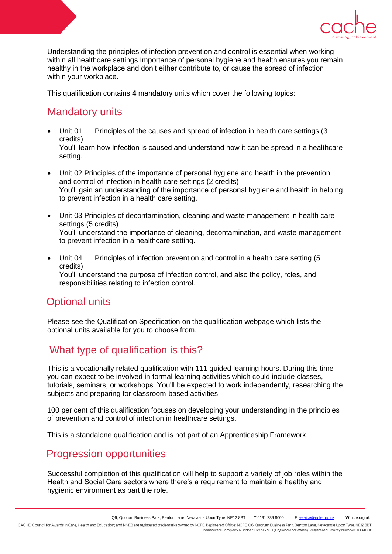

Understanding the principles of infection prevention and control is essential when working within all healthcare settings Importance of personal hygiene and health ensures you remain healthy in the workplace and don't either contribute to, or cause the spread of infection within your workplace.

This qualification contains **4** mandatory units which cover the following topics:

## Mandatory units

- Unit 01 Principles of the causes and spread of infection in health care settings (3 credits) You'll learn how infection is caused and understand how it can be spread in a healthcare setting.
- Unit 02 Principles of the importance of personal hygiene and health in the prevention and control of infection in health care settings (2 credits) You'll gain an understanding of the importance of personal hygiene and health in helping to prevent infection in a health care setting.
- Unit 03 Principles of decontamination, cleaning and waste management in health care settings (5 credits) You'll understand the importance of cleaning, decontamination, and waste management to prevent infection in a healthcare setting.
- Unit 04 Principles of infection prevention and control in a health care setting (5 credits) You'll understand the purpose of infection control, and also the policy, roles, and responsibilities relating to infection control.

## Optional units

Please see the Qualification Specification on the qualification webpage which lists the optional units available for you to choose from.

## What type of qualification is this?

This is a vocationally related qualification with 111 guided learning hours. During this time you can expect to be involved in formal learning activities which could include classes, tutorials, seminars, or workshops. You'll be expected to work independently, researching the subjects and preparing for classroom-based activities.

100 per cent of this qualification focuses on developing your understanding in the principles of prevention and control of infection in healthcare settings.

This is a standalone qualification and is not part of an Apprenticeship Framework.

## Progression opportunities

Successful completion of this qualification will help to support a variety of job roles within the Health and Social Care sectors where there's a requirement to maintain a healthy and hygienic environment as part the role.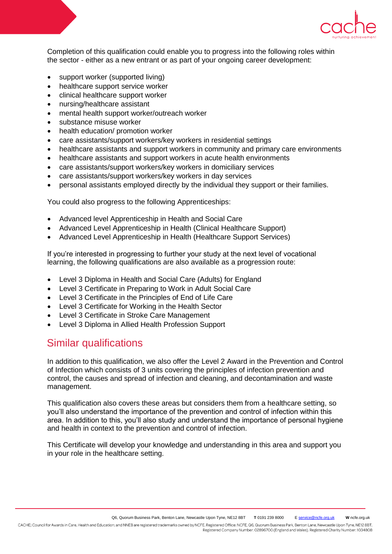

Completion of this qualification could enable you to progress into the following roles within the sector - either as a new entrant or as part of your ongoing career development:

- support worker (supported living)
- healthcare support service worker
- clinical healthcare support worker
- nursing/healthcare assistant
- mental health support worker/outreach worker
- substance misuse worker
- health education/ promotion worker
- care assistants/support workers/key workers in residential settings
- healthcare assistants and support workers in community and primary care environments
- healthcare assistants and support workers in acute health environments
- care assistants/support workers/key workers in domiciliary services
- care assistants/support workers/key workers in day services
- personal assistants employed directly by the individual they support or their families.

You could also progress to the following Apprenticeships:

- Advanced level Apprenticeship in Health and Social Care
- Advanced Level Apprenticeship in Health (Clinical Healthcare Support)
- Advanced Level Apprenticeship in Health (Healthcare Support Services)

If you're interested in progressing to further your study at the next level of vocational learning, the following qualifications are also available as a progression route:

- Level 3 Diploma in Health and Social Care (Adults) for England
- Level 3 Certificate in Preparing to Work in Adult Social Care
- Level 3 Certificate in the Principles of End of Life Care
- Level 3 Certificate for Working in the Health Sector
- Level 3 Certificate in Stroke Care Management
- Level 3 Diploma in Allied Health Profession Support

## Similar qualifications

In addition to this qualification, we also offer the Level 2 Award in the Prevention and Control of Infection which consists of 3 units covering the principles of infection prevention and control, the causes and spread of infection and cleaning, and decontamination and waste management.

This qualification also covers these areas but considers them from a healthcare setting, so you'll also understand the importance of the prevention and control of infection within this area. In addition to this, you'll also study and understand the importance of personal hygiene and health in context to the prevention and control of infection.

This Certificate will develop your knowledge and understanding in this area and support you in your role in the healthcare setting.

Registered Company Number: 02896700 (England and Wales). Registered Charity Number: 1034808